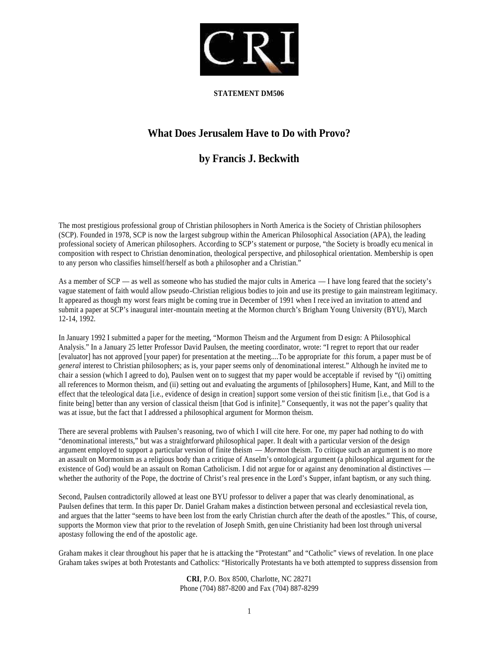

## **STATEMENT DM506**

## **What Does Jerusalem Have to Do with Provo?**

## **by Francis J. Beckwith**

The most prestigious professional group of Christian philosophers in North America is the Society of Christian philosophers (SCP). Founded in 1978, SCP is now the largest subgroup within the American Philosophical Association (APA), the leading professional society of American philosophers. According to SCP's statement or purpose, "the Society is broadly ecu menical in composition with respect to Christian denomination, theological perspective, and philosophical orientation. Membership is open to any person who classifies himself/herself as both a philosopher and a Christian."

As a member of  $SCP$  — as well as someone who has studied the major cults in America — I have long feared that the society's vague statement of faith would allow pseudo-Christian religious bodies to join and use its prestige to gain mainstream legitimacy. It appeared as though my worst fears might be coming true in December of 1991 when I rece ived an invitation to attend and submit a paper at SCP's inaugural inter-mountain meeting at the Mormon church's Brigham Young University (BYU), March 12-14, 1992.

In January 1992 I submitted a paper for the meeting, "Mormon Theism and the Argument from D esign: A Philosophical Analysis." In a January 25 letter Professor David Paulsen, the meeting coordinator, wrote: "I regret to report that our reader [evaluator] has not approved [your paper) for presentation at the meeting....To be appropriate for *this* forum, a paper must be of *general* interest to Christian philosophers; as is, your paper seems only of denominational interest." Although he invited me to chair a session (which I agreed to do), Paulsen went on to suggest that my paper would be acceptable if revised by "(i) omitting all references to Mormon theism, and (ii) setting out and evaluating the arguments of [philosophers] Hume, Kant, and Mill to the effect that the teleological data [i.e., evidence of design in creation] support some version of thei stic finitism [i.e., that God is a finite being] better than any version of classical theism [that God is infinite]." Consequently, it was not the paper's quality that was at issue, but the fact that I addressed a philosophical argument for Mormon theism.

There are several problems with Paulsen's reasoning, two of which I will cite here. For one, my paper had nothing to do with "denominational interests," but was a straightforward philosophical paper. It dealt with a particular version of the design argument employed to support a particular version of finite theism — *Mormon* theism. To critique such an argument is no more an assault on Mormonism as a religious body than a critique of Anselm's ontological argument (a philosophical argument for the existence of God) would be an assault on Roman Catholicism. I did not argue for or against any denomination al distinctives whether the authority of the Pope, the doctrine of Christ's real pres ence in the Lord's Supper, infant baptism, or any such thing.

Second, Paulsen contradictorily allowed at least one BYU professor to deliver a paper that was clearly denominational, as Paulsen defines that term. In this paper Dr. Daniel Graham makes a distinction between personal and ecclesiastical revela tion, and argues that the latter "seems to have been lost from the early Christian church after the death of the apostles." This, of course, supports the Mormon view that prior to the revelation of Joseph Smith, gen uine Christianity had been lost through universal apostasy following the end of the apostolic age.

Graham makes it clear throughout his paper that he is attacking the "Protestant" and "Catholic" views of revelation. In one place Graham takes swipes at both Protestants and Catholics: "Historically Protestants ha ve both attempted to suppress dissension from

> **CRI**, P.O. Box 8500, Charlotte, NC 28271 Phone (704) 887-8200 and Fax (704) 887-8299